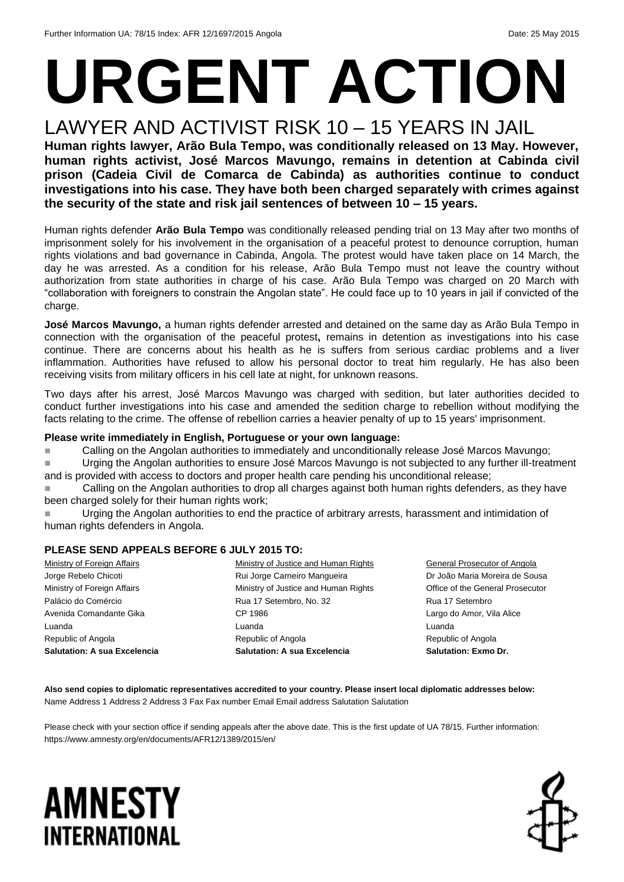## **URGENT ACTION** LAWYER AND ACTIVIST RISK 10 – 15 YEARS IN JAIL

**Human rights lawyer, Arão Bula Tempo, was conditionally released on 13 May. However, human rights activist, José Marcos Mavungo, remains in detention at Cabinda civil prison (Cadeia Civil de Comarca de Cabinda) as authorities continue to conduct investigations into his case. They have both been charged separately with crimes against the security of the state and risk jail sentences of between 10 – 15 years.**

Human rights defender **Arão Bula Tempo** was conditionally released pending trial on 13 May after two months of imprisonment solely for his involvement in the organisation of a peaceful protest to denounce corruption, human rights violations and bad governance in Cabinda, Angola. The protest would have taken place on 14 March, the day he was arrested. As a condition for his release, Arão Bula Tempo must not leave the country without authorization from state authorities in charge of his case. Arão Bula Tempo was charged on 20 March with "collaboration with foreigners to constrain the Angolan state". He could face up to 10 years in jail if convicted of the charge.

**José Marcos Mavungo,** a human rights defender arrested and detained on the same day as Arão Bula Tempo in connection with the organisation of the peaceful protest**,** remains in detention as investigations into his case continue. There are concerns about his health as he is suffers from serious cardiac problems and a liver inflammation. Authorities have refused to allow his personal doctor to treat him regularly. He has also been receiving visits from military officers in his cell late at night, for unknown reasons.

Two days after his arrest, José Marcos Mavungo was charged with sedition, but later authorities decided to conduct further investigations into his case and amended the sedition charge to rebellion without modifying the facts relating to the crime. The offense of rebellion carries a heavier penalty of up to 15 years' imprisonment.

#### **Please write immediately in English, Portuguese or your own language:**

■ Calling on the Angolan authorities to immediately and unconditionally release José Marcos Mavungo;

■ Urging the Angolan authorities to ensure José Marcos Mavungo is not subjected to any further ill-treatment and is provided with access to doctors and proper health care pending his unconditional release;

 Calling on the Angolan authorities to drop all charges against both human rights defenders, as they have been charged solely for their human rights work;

**Urging the Angolan authorities to end the practice of arbitrary arrests, harassment and intimidation of** human rights defenders in Angola.

### **PLEASE SEND APPEALS BEFORE 6 JULY 2015 TO:**

| Ministry of Foreign Affairs         | Ministry of Justice and Human Rights |
|-------------------------------------|--------------------------------------|
| Jorge Rebelo Chicoti                | Rui Jorge Carneiro Mangueira         |
| Ministry of Foreign Affairs         | Ministry of Justice and Human Rights |
| Palácio do Comércio                 | Rua 17 Setembro, No. 32              |
| Avenida Comandante Gika             | CP 1986                              |
| Luanda                              | Luanda                               |
| Republic of Angola                  | Republic of Angola                   |
| <b>Salutation: A sua Excelencia</b> | <b>Salutation: A sua Excelencia</b>  |

General Prosecutor of Angola Dr João Maria Moreira de Sousa Office of the General Prosecutor Rua 17 Setembro Largo do Amor, Vila Alice Luanda Republic of Angola **Salutation: Exmo Dr.**

**Also send copies to diplomatic representatives accredited to your country. Please insert local diplomatic addresses below:** Name Address 1 Address 2 Address 3 Fax Fax number Email Email address Salutation Salutation

Please check with your section office if sending appeals after the above date. This is the first update of UA 78/15. Further information: https://www.amnesty.org/en/documents/AFR12/1389/2015/en/